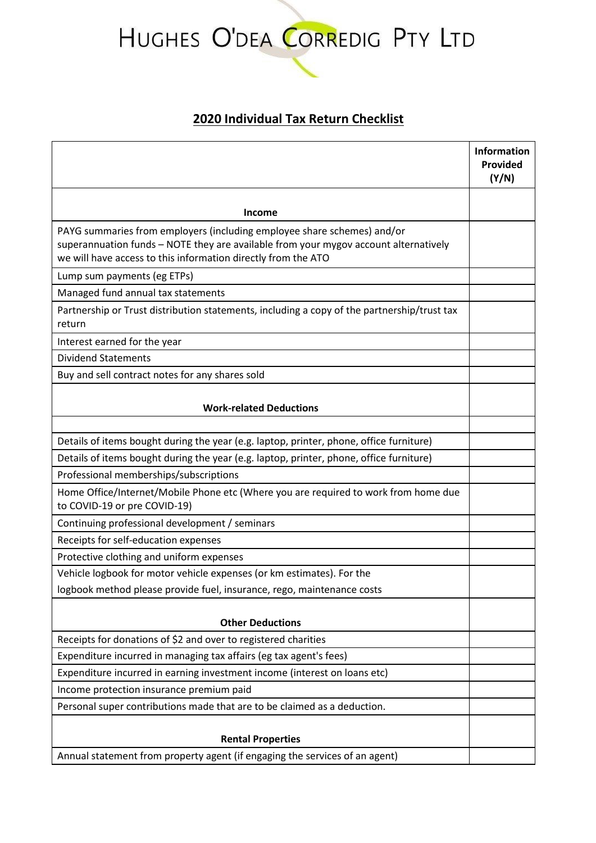## HUGHES O'DEA CORREDIG PTY LTD

## **2020 Individual Tax Return Checklist**

|                                                                                                                                                                                                                                  | <b>Information</b><br>Provided<br>(Y/N) |
|----------------------------------------------------------------------------------------------------------------------------------------------------------------------------------------------------------------------------------|-----------------------------------------|
| Income                                                                                                                                                                                                                           |                                         |
| PAYG summaries from employers (including employee share schemes) and/or<br>superannuation funds - NOTE they are available from your mygov account alternatively<br>we will have access to this information directly from the ATO |                                         |
| Lump sum payments (eg ETPs)                                                                                                                                                                                                      |                                         |
| Managed fund annual tax statements                                                                                                                                                                                               |                                         |
| Partnership or Trust distribution statements, including a copy of the partnership/trust tax<br>return                                                                                                                            |                                         |
| Interest earned for the year                                                                                                                                                                                                     |                                         |
| <b>Dividend Statements</b>                                                                                                                                                                                                       |                                         |
| Buy and sell contract notes for any shares sold                                                                                                                                                                                  |                                         |
| <b>Work-related Deductions</b>                                                                                                                                                                                                   |                                         |
|                                                                                                                                                                                                                                  |                                         |
| Details of items bought during the year (e.g. laptop, printer, phone, office furniture)                                                                                                                                          |                                         |
| Details of items bought during the year (e.g. laptop, printer, phone, office furniture)                                                                                                                                          |                                         |
| Professional memberships/subscriptions                                                                                                                                                                                           |                                         |
| Home Office/Internet/Mobile Phone etc (Where you are required to work from home due<br>to COVID-19 or pre COVID-19)                                                                                                              |                                         |
| Continuing professional development / seminars                                                                                                                                                                                   |                                         |
| Receipts for self-education expenses                                                                                                                                                                                             |                                         |
| Protective clothing and uniform expenses                                                                                                                                                                                         |                                         |
| Vehicle logbook for motor vehicle expenses (or km estimates). For the                                                                                                                                                            |                                         |
| logbook method please provide fuel, insurance, rego, maintenance costs                                                                                                                                                           |                                         |
| <b>Other Deductions</b>                                                                                                                                                                                                          |                                         |
| Receipts for donations of \$2 and over to registered charities                                                                                                                                                                   |                                         |
| Expenditure incurred in managing tax affairs (eg tax agent's fees)                                                                                                                                                               |                                         |
| Expenditure incurred in earning investment income (interest on loans etc)                                                                                                                                                        |                                         |
| Income protection insurance premium paid                                                                                                                                                                                         |                                         |
| Personal super contributions made that are to be claimed as a deduction.                                                                                                                                                         |                                         |
|                                                                                                                                                                                                                                  |                                         |
| <b>Rental Properties</b>                                                                                                                                                                                                         |                                         |
| Annual statement from property agent (if engaging the services of an agent)                                                                                                                                                      |                                         |